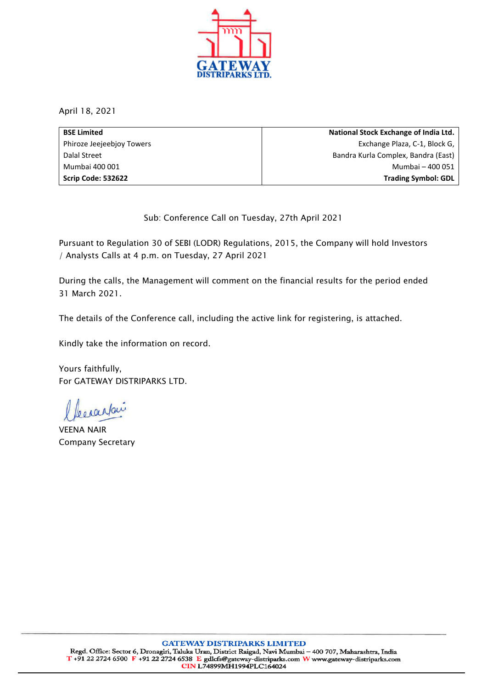

April 18, 2021

| <b>BSE Limited</b>        | National Stock Exchange of India Ltd. |
|---------------------------|---------------------------------------|
| Phiroze Jeejeebjoy Towers | Exchange Plaza, C-1, Block G,         |
| Dalal Street              | Bandra Kurla Complex, Bandra (East)   |
| Mumbai 400 001            | Mumbai - 400 051                      |
| Scrip Code: 532622        | <b>Trading Symbol: GDL</b>            |

Sub: Conference Call on Tuesday, 27th April 2021

Pursuant to Regulation 30 of SEBI (LODR) Regulations, 2015, the Company will hold Investors / Analysts Calls at 4 p.m. on Tuesday, 27 April 2021

During the calls, the Management will comment on the financial results for the period ended 31 March 2021.

The details of the Conference call, including the active link for registering, is attached.

Kindly take the information on record.

Yours faithfully, For GATEWAY DISTRIPARKS LTD.

becaustair

VEENA NAIR Company Secretary